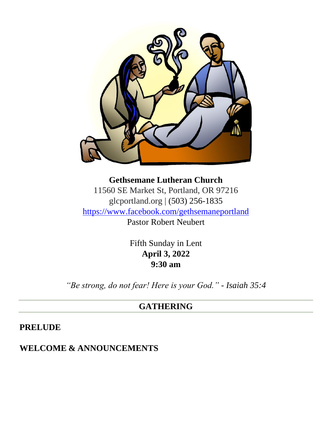

**Gethsemane Lutheran Church** 11560 SE Market St, Portland, OR 97216 glcportland.org | (503) 256-1835 <https://www.facebook.com/gethsemaneportland> Pastor Robert Neubert

> Fifth Sunday in Lent **April 3, 2022 9:30 am**

*"Be strong, do not fear! Here is your God." - Isaiah 35:4*

#### **GATHERING**

**PRELUDE**

#### **WELCOME & ANNOUNCEMENTS**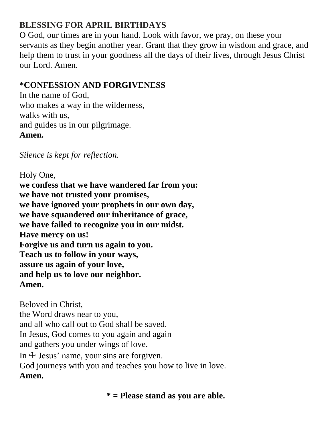## **BLESSING FOR APRIL BIRTHDAYS**

O God, our times are in your hand. Look with favor, we pray, on these your servants as they begin another year. Grant that they grow in wisdom and grace, and help them to trust in your goodness all the days of their lives, through Jesus Christ our Lord. Amen.

### **\*CONFESSION AND FORGIVENESS**

In the name of God, who makes a way in the wilderness, walks with us, and guides us in our pilgrimage. **Amen.**

*Silence is kept for reflection.*

Holy One, **we confess that we have wandered far from you: we have not trusted your promises, we have ignored your prophets in our own day, we have squandered our inheritance of grace, we have failed to recognize you in our midst. Have mercy on us! Forgive us and turn us again to you. Teach us to follow in your ways, assure us again of your love, and help us to love our neighbor. Amen.**

Beloved in Christ, the Word draws near to you, and all who call out to God shall be saved. In Jesus, God comes to you again and again and gathers you under wings of love. In  $\pm$  Jesus' name, your sins are forgiven. God journeys with you and teaches you how to live in love. **Amen.**

**\* = Please stand as you are able.**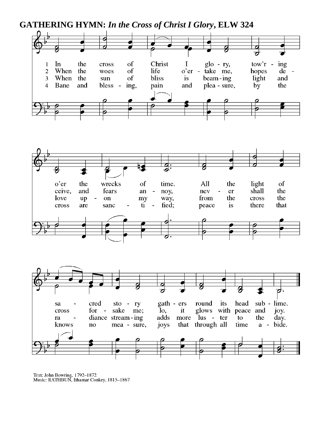**GATHERING HYMN:** *In the Cross of Christ I Glory***, ELW 324**





Text: John Bowring, 1792-1872<br>Music: RATHBUN, Ithamar Conkey, 1815-1867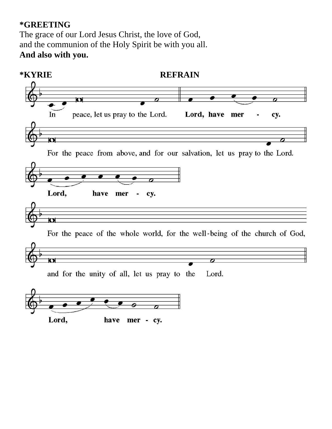#### **\*GREETING**

The grace of our Lord Jesus Christ, the love of God, and the communion of the Holy Spirit be with you all. **And also with you.**

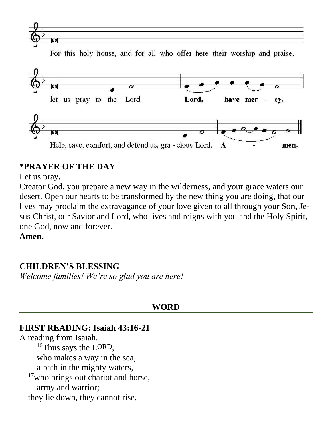

For this holy house, and for all who offer here their worship and praise,



#### **\*PRAYER OF THE DAY**

Let us pray.

Creator God, you prepare a new way in the wilderness, and your grace waters our desert. Open our hearts to be transformed by the new thing you are doing, that our lives may proclaim the extravagance of your love given to all through your Son, Jesus Christ, our Savior and Lord, who lives and reigns with you and the Holy Spirit, one God, now and forever.

**Amen.**

#### **CHILDREN'S BLESSING**

*Welcome families! We're so glad you are here!*

#### **WORD**

#### **FIRST READING: Isaiah 43:16-21**

A reading from Isaiah. <sup>16</sup>Thus says the LORD, who makes a way in the sea, a path in the mighty waters, <sup>17</sup>who brings out chariot and horse, army and warrior; they lie down, they cannot rise,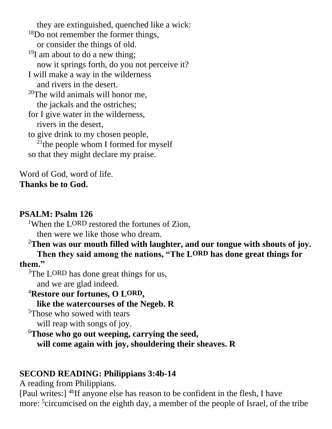they are extinguished, quenched like a wick: <sup>18</sup>Do not remember the former things, or consider the things of old.  $19I$  am about to do a new thing; now it springs forth, do you not perceive it? I will make a way in the wilderness and rivers in the desert.  $20$ The wild animals will honor me, the jackals and the ostriches; for I give water in the wilderness, rivers in the desert, to give drink to my chosen people,  $21$ <sup>the</sup> people whom I formed for myself so that they might declare my praise.

Word of God, word of life. **Thanks be to God.**

#### **PSALM: Psalm 126**

<sup>1</sup>When the LORD restored the fortunes of Zion, then were we like those who dream.

<sup>2</sup>**Then was our mouth filled with laughter, and our tongue with shouts of joy. Then they said among the nations, "The LORD has done great things for them."**

<sup>3</sup>The LORD has done great things for us, and we are glad indeed.

<sup>4</sup>**Restore our fortunes, O LORD , like the watercourses of the Negeb. R**

<sup>5</sup>Those who sowed with tears will reap with songs of joy.

<sup>6</sup>**Those who go out weeping, carrying the seed, will come again with joy, shouldering their sheaves. R**

### **SECOND READING: Philippians 3:4b-14**

A reading from Philippians.

[Paul writes:] 4bIf anyone else has reason to be confident in the flesh, I have more: <sup>5</sup> circumcised on the eighth day, a member of the people of Israel, of the tribe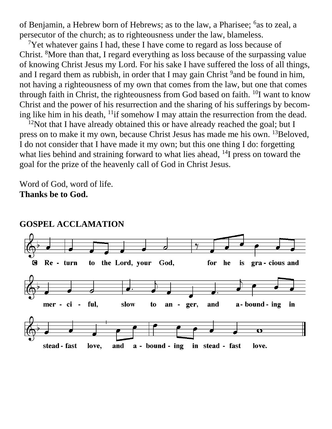of Benjamin, a Hebrew born of Hebrews; as to the law, a Pharisee; <sup>6</sup>as to zeal, a persecutor of the church; as to righteousness under the law, blameless.

<sup>7</sup>Yet whatever gains I had, these I have come to regard as loss because of Christ. <sup>8</sup>More than that, I regard everything as loss because of the surpassing value of knowing Christ Jesus my Lord. For his sake I have suffered the loss of all things, and I regard them as rubbish, in order that I may gain Christ<sup>9</sup> and be found in him, not having a righteousness of my own that comes from the law, but one that comes through faith in Christ, the righteousness from God based on faith. <sup>10</sup>I want to know Christ and the power of his resurrection and the sharing of his sufferings by becoming like him in his death, <sup>11</sup>if somehow I may attain the resurrection from the dead.

 $12$ Not that I have already obtained this or have already reached the goal; but I press on to make it my own, because Christ Jesus has made me his own. <sup>13</sup>Beloved, I do not consider that I have made it my own; but this one thing I do: forgetting what lies behind and straining forward to what lies ahead, <sup>14</sup>I press on toward the goal for the prize of the heavenly call of God in Christ Jesus.

Word of God, word of life. **Thanks be to God.**



#### **GOSPEL ACCLAMATION**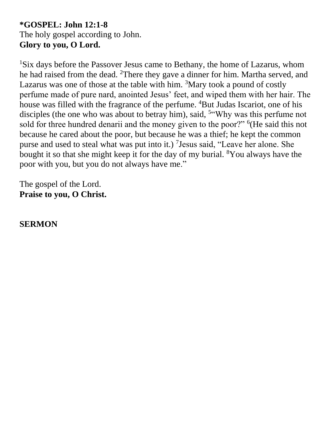#### **\*GOSPEL: John 12:1-8** The holy gospel according to John. **Glory to you, O Lord.**

<sup>1</sup>Six days before the Passover Jesus came to Bethany, the home of Lazarus, whom he had raised from the dead. <sup>2</sup>There they gave a dinner for him. Martha served, and Lazarus was one of those at the table with him.  $3$ Mary took a pound of costly perfume made of pure nard, anointed Jesus' feet, and wiped them with her hair. The house was filled with the fragrance of the perfume. <sup>4</sup>But Judas Iscariot, one of his disciples (the one who was about to betray him), said, <sup>5"</sup>Why was this perfume not sold for three hundred denarii and the money given to the poor?" <sup>6</sup>(He said this not because he cared about the poor, but because he was a thief; he kept the common purse and used to steal what was put into it.) <sup>7</sup> Jesus said, "Leave her alone. She bought it so that she might keep it for the day of my burial. <sup>8</sup>You always have the poor with you, but you do not always have me."

The gospel of the Lord. **Praise to you, O Christ.**

**SERMON**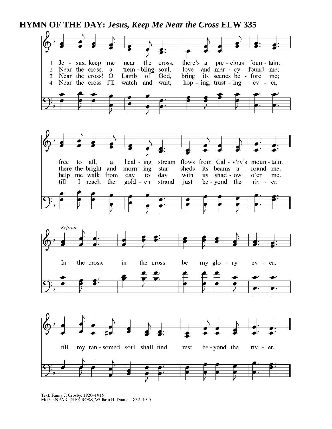**HYMN OF THE DAY:** *Jesus, Keep Me Near the Cross* **ELW 335**



Text: Fanny J. Crosby, 1820-1915<br>Music: NEAR THE CROSS, William H. Doane, 1832-1915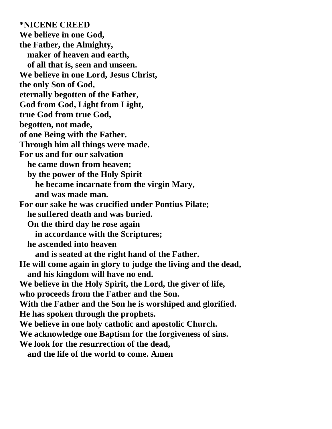**\*NICENE CREED We believe in one God, the Father, the Almighty, maker of heaven and earth, of all that is, seen and unseen. We believe in one Lord, Jesus Christ, the only Son of God, eternally begotten of the Father, God from God, Light from Light, true God from true God, begotten, not made, of one Being with the Father. Through him all things were made. For us and for our salvation he came down from heaven; by the power of the Holy Spirit he became incarnate from the virgin Mary, and was made man. For our sake he was crucified under Pontius Pilate; he suffered death and was buried. On the third day he rose again in accordance with the Scriptures; he ascended into heaven and is seated at the right hand of the Father. He will come again in glory to judge the living and the dead, and his kingdom will have no end. We believe in the Holy Spirit, the Lord, the giver of life, who proceeds from the Father and the Son. With the Father and the Son he is worshiped and glorified. He has spoken through the prophets. We believe in one holy catholic and apostolic Church. We acknowledge one Baptism for the forgiveness of sins. We look for the resurrection of the dead, and the life of the world to come. Amen**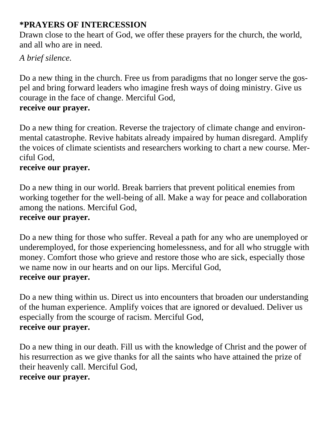### **\*PRAYERS OF INTERCESSION**

Drawn close to the heart of God, we offer these prayers for the church, the world, and all who are in need.

### *A brief silence.*

Do a new thing in the church. Free us from paradigms that no longer serve the gospel and bring forward leaders who imagine fresh ways of doing ministry. Give us courage in the face of change. Merciful God, **receive our prayer.**

Do a new thing for creation. Reverse the trajectory of climate change and environmental catastrophe. Revive habitats already impaired by human disregard. Amplify the voices of climate scientists and researchers working to chart a new course. Merciful God,

#### **receive our prayer.**

Do a new thing in our world. Break barriers that prevent political enemies from working together for the well-being of all. Make a way for peace and collaboration among the nations. Merciful God, **receive our prayer.**

Do a new thing for those who suffer. Reveal a path for any who are unemployed or underemployed, for those experiencing homelessness, and for all who struggle with money. Comfort those who grieve and restore those who are sick, especially those we name now in our hearts and on our lips. Merciful God, **receive our prayer.**

Do a new thing within us. Direct us into encounters that broaden our understanding of the human experience. Amplify voices that are ignored or devalued. Deliver us especially from the scourge of racism. Merciful God, **receive our prayer.**

Do a new thing in our death. Fill us with the knowledge of Christ and the power of his resurrection as we give thanks for all the saints who have attained the prize of their heavenly call. Merciful God, **receive our prayer.**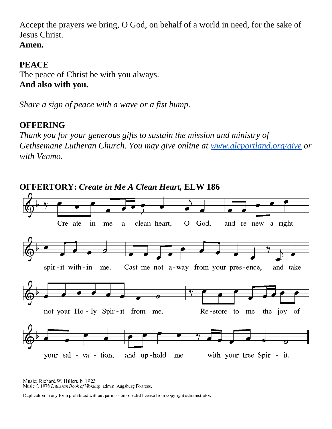Accept the prayers we bring, O God, on behalf of a world in need, for the sake of Jesus Christ.

# **Amen.**

### **PEACE**

The peace of Christ be with you always. **And also with you.**

*Share a sign of peace with a wave or a fist bump.*

## **OFFERING**

*Thank you for your generous gifts to sustain the mission and ministry of Gethsemane Lutheran Church. You may give online at [www.glcportland.org/give](http://www.glcportland.org/give) or with Venmo.* 



Music: Richard W. Hillert, b. 1923 Music © 1978 Lutheran Book of Worship, admin. Augsburg Fortress.

Duplication in any form prohibited without permission or valid license from copyright administrator.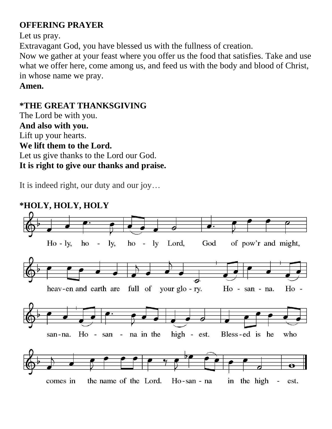## **OFFERING PRAYER**

Let us pray.

Extravagant God, you have blessed us with the fullness of creation.

Now we gather at your feast where you offer us the food that satisfies. Take and use what we offer here, come among us, and feed us with the body and blood of Christ, in whose name we pray.

**Amen.**

### **\*THE GREAT THANKSGIVING**

The Lord be with you. **And also with you.** Lift up your hearts. **We lift them to the Lord.** Let us give thanks to the Lord our God. **It is right to give our thanks and praise.**

It is indeed right, our duty and our joy…

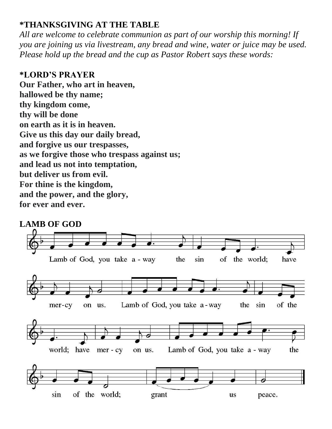#### **\*THANKSGIVING AT THE TABLE**

*All are welcome to celebrate communion as part of our worship this morning! If you are joining us via livestream, any bread and wine, water or juice may be used. Please hold up the bread and the cup as Pastor Robert says these words:*

#### **\*LORD'S PRAYER**

**Our Father, who art in heaven, hallowed be thy name; thy kingdom come, thy will be done on earth as it is in heaven. Give us this day our daily bread, and forgive us our trespasses, as we forgive those who trespass against us; and lead us not into temptation, but deliver us from evil. For thine is the kingdom, and the power, and the glory, for ever and ever.**

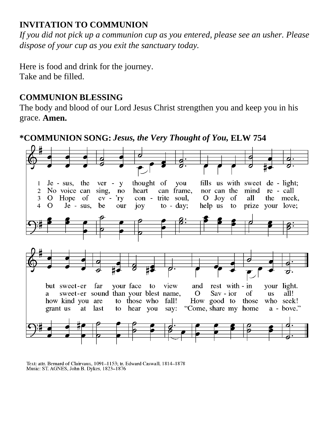### **INVITATION TO COMMUNION**

*If you did not pick up a communion cup as you entered, please see an usher. Please dispose of your cup as you exit the sanctuary today.* 

Here is food and drink for the journey. Take and be filled.

#### **COMMUNION BLESSING**

The body and blood of our Lord Jesus Christ strengthen you and keep you in his grace. **Amen.**

**\*COMMUNION SONG:** *Jesus, the Very Thought of You,* **ELW 754**



Text: attr. Bernard of Clairvaux, 1091-1153; tr. Edward Caswall, 1814-1878<br>Music: ST. AGNES, John B. Dykes, 1823-1876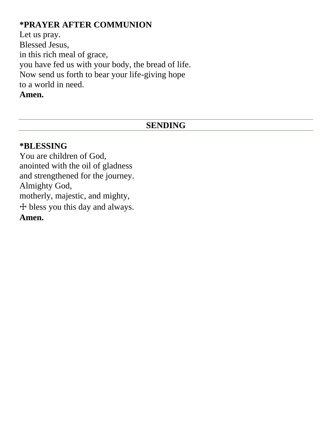## **\*PRAYER AFTER COMMUNION**

Let us pray. Blessed Jesus, in this rich meal of grace, you have fed us with your body, the bread of life. Now send us forth to bear your life-giving hope to a world in need. **Amen.**

#### **SENDING**

#### **\*BLESSING**

You are children of God, anointed with the oil of gladness and strengthened for the journey. Almighty God, motherly, majestic, and mighty, ☩ bless you this day and always. **Amen.**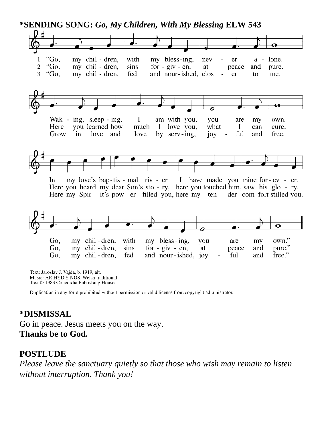

Text: Jaroslav J. Vajda, b. 1919, alt. Music: AR HYDY NOS, Welsh traditional Text © 1983 Concordia Publishing House

Duplication in any form prohibited without permission or valid license from copyright administrator.

#### **\*DISMISSAL**

Go in peace. Jesus meets you on the way. **Thanks be to God.**

#### **POSTLUDE**

*Please leave the sanctuary quietly so that those who wish may remain to listen without interruption. Thank you!*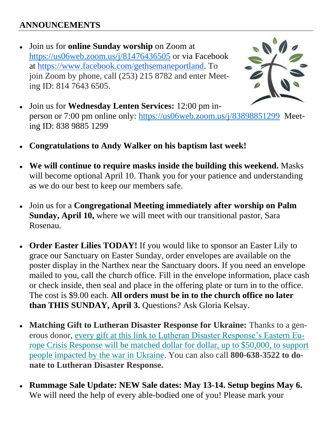### **ANNOUNCEMENTS**

● Join us for **online Sunday worship** on Zoom at <https://us06web.zoom.us/j/81476436505> or via Facebook at [https://www.facebook.com/gethsemaneportland.](https://www.facebook.com/gethsemaneportland) To join Zoom by phone, call (253) 215 8782 and enter Meeting ID: 814 7643 6505.



- Join us for **Wednesday Lenten Services:** 12:00 pm inperson or 7:00 pm online only:<https://us06web.zoom.us/j/83898851299>Meeting ID: 838 9885 1299
- **Congratulations to Andy Walker on his baptism last week!**
- **We will continue to require masks inside the building this weekend.** Masks will become optional April 10. Thank you for your patience and understanding as we do our best to keep our members safe.
- Join us for a **Congregational Meeting immediately after worship on Palm Sunday, April 10,** where we will meet with our transitional pastor, Sara Rosenau.
- **Order Easter Lilies TODAY!** If you would like to sponsor an Easter Lily to grace our Sanctuary on Easter Sunday, order envelopes are available on the poster display in the Narthex near the Sanctuary doors. If you need an envelope mailed to you, call the church office. Fill in the envelope information, place cash or check inside, then seal and place in the offering plate or turn in to the office. The cost is \$9.00 each. **All orders must be in to the church office no later than THIS SUNDAY, April 3.** Questions? Ask Gloria Kelsay.
- **Matching Gift to Lutheran Disaster Response for Ukraine:** Thanks to a generous donor, [every gift at this link to Lutheran Disaster Response's Eastern Eu](https://community.elca.org/page.redir?target=https%3a%2f%2fcommunity.elca.org%2feastern-europe-crisis-response&srcid=298650&srctid=1&erid=ececa52d-e468-469d-9689-cc39ba1007f6&trid=ececa52d-e468-469d-9689-cc39ba1007f6)[rope Crisis Response will be matched dollar for dollar, up to \\$50,000, to support](https://community.elca.org/page.redir?target=https%3a%2f%2fcommunity.elca.org%2feastern-europe-crisis-response&srcid=298650&srctid=1&erid=ececa52d-e468-469d-9689-cc39ba1007f6&trid=ececa52d-e468-469d-9689-cc39ba1007f6)  [people impacted by the war in Ukraine.](https://community.elca.org/page.redir?target=https%3a%2f%2fcommunity.elca.org%2feastern-europe-crisis-response&srcid=298650&srctid=1&erid=ececa52d-e468-469d-9689-cc39ba1007f6&trid=ececa52d-e468-469d-9689-cc39ba1007f6) You can also call **800-638-3522 to donate to Lutheran Disaster Response.**
- **Rummage Sale Update: NEW Sale dates: May 13-14. Setup begins May 6.** We will need the help of every able-bodied one of you! Please mark your